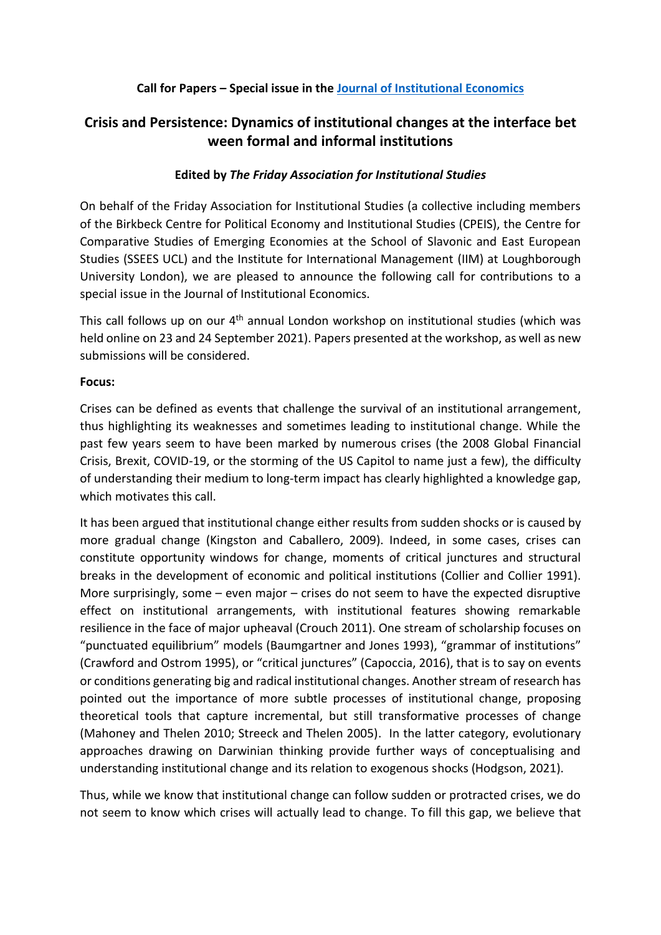# **Call for Papers – Special issue in the [Journal of Institutional Economics](https://www.cambridge.org/core/journals/journal-of-institutional-economics)**

# **Crisis and Persistence: Dynamics of institutional changes at the interface bet ween formal and informal institutions**

## **Edited by** *The Friday Association for Institutional Studies*

On behalf of the Friday Association for Institutional Studies (a collective including members of the Birkbeck Centre for Political Economy and Institutional Studies (CPEIS), the Centre for Comparative Studies of Emerging Economies at the School of Slavonic and East European Studies (SSEES UCL) and the Institute for International Management (IIM) at Loughborough University London), we are pleased to announce the following call for contributions to a special issue in the Journal of Institutional Economics.

This call follows up on our 4<sup>th</sup> annual London workshop on institutional studies (which was held online on 23 and 24 September 2021). Papers presented at the workshop, as well as new submissions will be considered.

#### **Focus:**

Crises can be defined as events that challenge the survival of an institutional arrangement, thus highlighting its weaknesses and sometimes leading to institutional change. While the past few years seem to have been marked by numerous crises (the 2008 Global Financial Crisis, Brexit, COVID-19, or the storming of the US Capitol to name just a few), the difficulty of understanding their medium to long-term impact has clearly highlighted a knowledge gap, which motivates this call.

It has been argued that institutional change either results from sudden shocks or is caused by more gradual change (Kingston and Caballero, 2009). Indeed, in some cases, crises can constitute opportunity windows for change, moments of critical junctures and structural breaks in the development of economic and political institutions (Collier and Collier 1991). More surprisingly, some – even major – crises do not seem to have the expected disruptive effect on institutional arrangements, with institutional features showing remarkable resilience in the face of major upheaval (Crouch 2011). One stream of scholarship focuses on "punctuated equilibrium" models (Baumgartner and Jones 1993), "grammar of institutions" (Crawford and Ostrom 1995), or "critical junctures" (Capoccia, 2016), that is to say on events or conditions generating big and radical institutional changes. Another stream of research has pointed out the importance of more subtle processes of institutional change, proposing theoretical tools that capture incremental, but still transformative processes of change (Mahoney and Thelen 2010; Streeck and Thelen 2005). In the latter category, evolutionary approaches drawing on Darwinian thinking provide further ways of conceptualising and understanding institutional change and its relation to exogenous shocks (Hodgson, 2021).

Thus, while we know that institutional change can follow sudden or protracted crises, we do not seem to know which crises will actually lead to change. To fill this gap, we believe that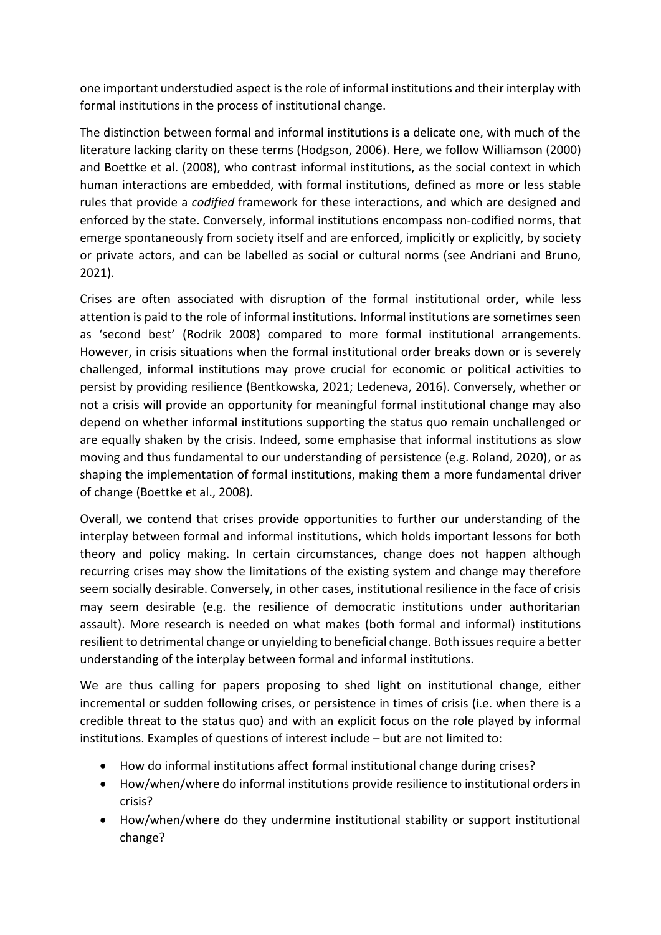one important understudied aspect is the role of informal institutions and their interplay with formal institutions in the process of institutional change.

The distinction between formal and informal institutions is a delicate one, with much of the literature lacking clarity on these terms (Hodgson, 2006). Here, we follow Williamson (2000) and Boettke et al. (2008), who contrast informal institutions, as the social context in which human interactions are embedded, with formal institutions, defined as more or less stable rules that provide a *codified* framework for these interactions, and which are designed and enforced by the state. Conversely, informal institutions encompass non-codified norms, that emerge spontaneously from society itself and are enforced, implicitly or explicitly, by society or private actors, and can be labelled as social or cultural norms (see Andriani and Bruno, 2021).

Crises are often associated with disruption of the formal institutional order, while less attention is paid to the role of informal institutions. Informal institutions are sometimes seen as 'second best' (Rodrik 2008) compared to more formal institutional arrangements. However, in crisis situations when the formal institutional order breaks down or is severely challenged, informal institutions may prove crucial for economic or political activities to persist by providing resilience (Bentkowska, 2021; Ledeneva, 2016). Conversely, whether or not a crisis will provide an opportunity for meaningful formal institutional change may also depend on whether informal institutions supporting the status quo remain unchallenged or are equally shaken by the crisis. Indeed, some emphasise that informal institutions as slow moving and thus fundamental to our understanding of persistence (e.g. Roland, 2020), or as shaping the implementation of formal institutions, making them a more fundamental driver of change (Boettke et al., 2008).

Overall, we contend that crises provide opportunities to further our understanding of the interplay between formal and informal institutions, which holds important lessons for both theory and policy making. In certain circumstances, change does not happen although recurring crises may show the limitations of the existing system and change may therefore seem socially desirable. Conversely, in other cases, institutional resilience in the face of crisis may seem desirable (e.g. the resilience of democratic institutions under authoritarian assault). More research is needed on what makes (both formal and informal) institutions resilient to detrimental change or unyielding to beneficial change. Both issues require a better understanding of the interplay between formal and informal institutions.

We are thus calling for papers proposing to shed light on institutional change, either incremental or sudden following crises, or persistence in times of crisis (i.e. when there is a credible threat to the status quo) and with an explicit focus on the role played by informal institutions. Examples of questions of interest include – but are not limited to:

- How do informal institutions affect formal institutional change during crises?
- How/when/where do informal institutions provide resilience to institutional orders in crisis?
- How/when/where do they undermine institutional stability or support institutional change?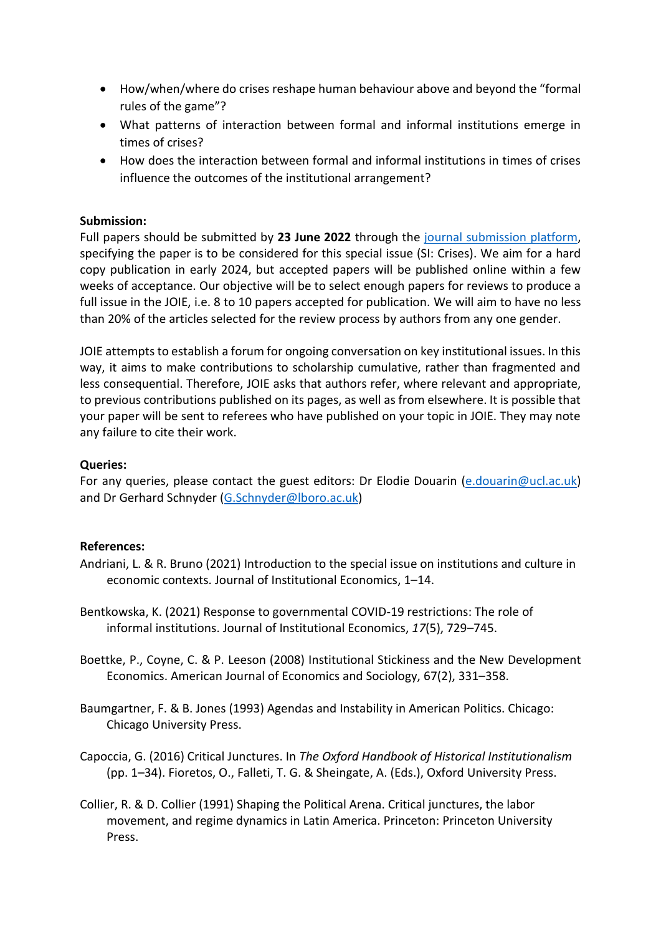- How/when/where do crises reshape human behaviour above and beyond the "formal rules of the game"?
- What patterns of interaction between formal and informal institutions emerge in times of crises?
- How does the interaction between formal and informal institutions in times of crises influence the outcomes of the institutional arrangement?

## **Submission:**

Full papers should be submitted by **23 June 2022** through the [journal submission platform,](https://mc.manuscriptcentral.com/joie) specifying the paper is to be considered for this special issue (SI: Crises). We aim for a hard copy publication in early 2024, but accepted papers will be published online within a few weeks of acceptance. Our objective will be to select enough papers for reviews to produce a full issue in the JOIE, i.e. 8 to 10 papers accepted for publication. We will aim to have no less than 20% of the articles selected for the review process by authors from any one gender.

JOIE attempts to establish a forum for ongoing conversation on key institutional issues. In this way, it aims to make contributions to scholarship cumulative, rather than fragmented and less consequential. Therefore, JOIE asks that authors refer, where relevant and appropriate, to previous contributions published on its pages, as well as from elsewhere. It is possible that your paper will be sent to referees who have published on your topic in JOIE. They may note any failure to cite their work.

## **Queries:**

For any queries, please contact the guest editors: Dr Elodie Douarin [\(e.douarin@ucl.ac.uk\)](mailto:e.douarin@ucl.ac.uk) and Dr Gerhard Schnyder [\(G.Schnyder@lboro.ac.uk\)](mailto:G.Schnyder@lboro.ac.uk)

#### **References:**

- Andriani, L. & R. Bruno (2021) Introduction to the special issue on institutions and culture in economic contexts. Journal of Institutional Economics, 1–14.
- Bentkowska, K. (2021) Response to governmental COVID-19 restrictions: The role of informal institutions. Journal of Institutional Economics, *17*(5), 729–745.
- Boettke, P., Coyne, C. & P. Leeson (2008) Institutional Stickiness and the New Development Economics. American Journal of Economics and Sociology, 67(2), 331–358.
- Baumgartner, F. & B. Jones (1993) Agendas and Instability in American Politics. Chicago: Chicago University Press.
- Capoccia, G. (2016) Critical Junctures. In *The Oxford Handbook of Historical Institutionalism* (pp. 1–34). Fioretos, O., Falleti, T. G. & Sheingate, A. (Eds.), Oxford University Press.
- Collier, R. & D. Collier (1991) Shaping the Political Arena. Critical junctures, the labor movement, and regime dynamics in Latin America. Princeton: Princeton University Press.